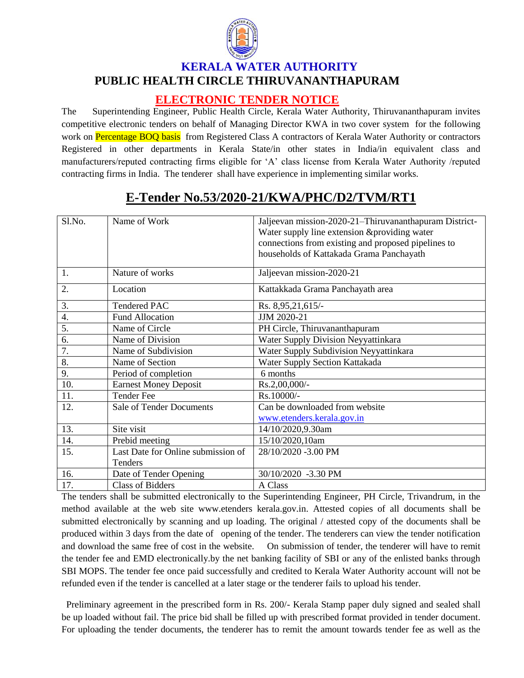

## **KERALA WATER AUTHORITY PUBLIC HEALTH CIRCLE THIRUVANANTHAPURAM**

## **ELECTRONIC TENDER NOTICE**

The Superintending Engineer, Public Health Circle, Kerala Water Authority, Thiruvananthapuram invites competitive electronic tenders on behalf of Managing Director KWA in two cover system for the following work on Percentage BOQ basis from Registered Class A contractors of Kerala Water Authority or contractors Registered in other departments in Kerala State/in other states in India/in equivalent class and manufacturers/reputed contracting firms eligible for 'A' class license from Kerala Water Authority /reputed contracting firms in India. The tenderer shall have experience in implementing similar works.

| Sl.No. | Name of Work                       | Jaljeevan mission-2020-21-Thiruvananthapuram District- |
|--------|------------------------------------|--------------------------------------------------------|
|        |                                    | Water supply line extension &providing water           |
|        |                                    | connections from existing and proposed pipelines to    |
|        |                                    | households of Kattakada Grama Panchayath               |
| 1.     | Nature of works                    | Jaljeevan mission-2020-21                              |
| 2.     | Location                           | Kattakkada Grama Panchayath area                       |
| 3.     | <b>Tendered PAC</b>                | Rs. 8,95,21,615/-                                      |
| 4.     | <b>Fund Allocation</b>             | JJM 2020-21                                            |
| 5.     | Name of Circle                     | PH Circle, Thiruvananthapuram                          |
| 6.     | Name of Division                   | Water Supply Division Neyyattinkara                    |
| 7.     | Name of Subdivision                | Water Supply Subdivision Neyyattinkara                 |
| 8.     | Name of Section                    | Water Supply Section Kattakada                         |
| 9.     | Period of completion               | 6 months                                               |
| 10.    | <b>Earnest Money Deposit</b>       | $Rs.2,00,000/$ -                                       |
| 11.    | <b>Tender Fee</b>                  | Rs.10000/-                                             |
| 12.    | <b>Sale of Tender Documents</b>    | Can be downloaded from website                         |
|        |                                    | www.etenders.kerala.gov.in                             |
| 13.    | Site visit                         | 14/10/2020,9.30am                                      |
| 14.    | Prebid meeting                     | 15/10/2020,10am                                        |
| 15.    | Last Date for Online submission of | 28/10/2020 -3.00 PM                                    |
|        | Tenders                            |                                                        |
| 16.    | Date of Tender Opening             | 30/10/2020 -3.30 PM                                    |
| 17.    | <b>Class of Bidders</b>            | A Class                                                |

## **E-Tender No.53/2020-21/KWA/PHC/D2/TVM/RT1**

The tenders shall be submitted electronically to the Superintending Engineer, PH Circle, Trivandrum, in the method available at the web site www.etenders kerala.gov.in. Attested copies of all documents shall be submitted electronically by scanning and up loading. The original / attested copy of the documents shall be produced within 3 days from the date of opening of the tender. The tenderers can view the tender notification and download the same free of cost in the website. On submission of tender, the tenderer will have to remit the tender fee and EMD electronically.by the net banking facility of SBI or any of the enlisted banks through SBI MOPS. The tender fee once paid successfully and credited to Kerala Water Authority account will not be refunded even if the tender is cancelled at a later stage or the tenderer fails to upload his tender.

 Preliminary agreement in the prescribed form in Rs. 200/- Kerala Stamp paper duly signed and sealed shall be up loaded without fail. The price bid shall be filled up with prescribed format provided in tender document. For uploading the tender documents, the tenderer has to remit the amount towards tender fee as well as the